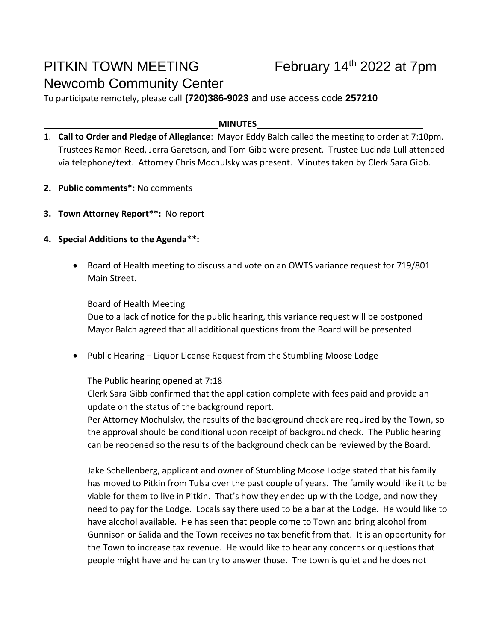# PITKIN TOWN MEETING Newcomb Community Center

To participate remotely, please call **(720)386-9023** and use access code **257210**

#### **MINUTES**

- 1. **Call to Order and Pledge of Allegiance**: Mayor Eddy Balch called the meeting to order at 7:10pm. Trustees Ramon Reed, Jerra Garetson, and Tom Gibb were present. Trustee Lucinda Lull attended via telephone/text. Attorney Chris Mochulsky was present. Minutes taken by Clerk Sara Gibb.
- **2. Public comments\*:** No comments
- **3. Town Attorney Report\*\*:** No report
- **4. Special Additions to the Agenda\*\*:**
	- Board of Health meeting to discuss and vote on an OWTS variance request for 719/801 Main Street.

Board of Health Meeting Due to a lack of notice for the public hearing, this variance request will be postponed Mayor Balch agreed that all additional questions from the Board will be presented

• Public Hearing – Liquor License Request from the Stumbling Moose Lodge

The Public hearing opened at 7:18

Clerk Sara Gibb confirmed that the application complete with fees paid and provide an update on the status of the background report.

Per Attorney Mochulsky, the results of the background check are required by the Town, so the approval should be conditional upon receipt of background check. The Public hearing can be reopened so the results of the background check can be reviewed by the Board.

Jake Schellenberg, applicant and owner of Stumbling Moose Lodge stated that his family has moved to Pitkin from Tulsa over the past couple of years. The family would like it to be viable for them to live in Pitkin. That's how they ended up with the Lodge, and now they need to pay for the Lodge. Locals say there used to be a bar at the Lodge. He would like to have alcohol available. He has seen that people come to Town and bring alcohol from Gunnison or Salida and the Town receives no tax benefit from that. It is an opportunity for the Town to increase tax revenue. He would like to hear any concerns or questions that people might have and he can try to answer those. The town is quiet and he does not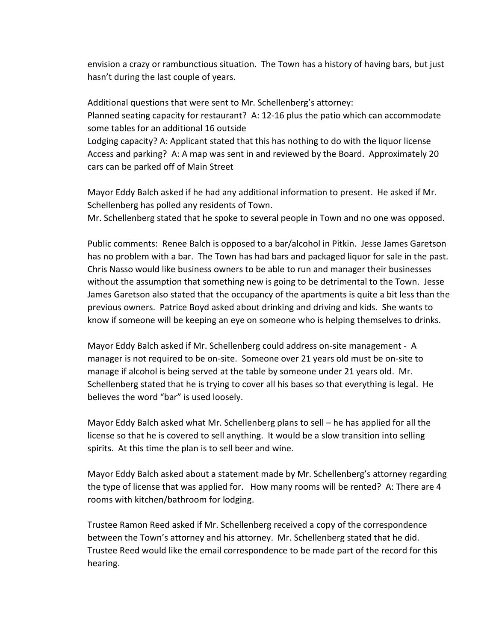envision a crazy or rambunctious situation. The Town has a history of having bars, but just hasn't during the last couple of years.

Additional questions that were sent to Mr. Schellenberg's attorney: Planned seating capacity for restaurant? A: 12-16 plus the patio which can accommodate some tables for an additional 16 outside Lodging capacity? A: Applicant stated that this has nothing to do with the liquor license Access and parking? A: A map was sent in and reviewed by the Board. Approximately 20 cars can be parked off of Main Street

Mayor Eddy Balch asked if he had any additional information to present. He asked if Mr. Schellenberg has polled any residents of Town.

Mr. Schellenberg stated that he spoke to several people in Town and no one was opposed.

Public comments: Renee Balch is opposed to a bar/alcohol in Pitkin. Jesse James Garetson has no problem with a bar. The Town has had bars and packaged liquor for sale in the past. Chris Nasso would like business owners to be able to run and manager their businesses without the assumption that something new is going to be detrimental to the Town. Jesse James Garetson also stated that the occupancy of the apartments is quite a bit less than the previous owners. Patrice Boyd asked about drinking and driving and kids. She wants to know if someone will be keeping an eye on someone who is helping themselves to drinks.

Mayor Eddy Balch asked if Mr. Schellenberg could address on-site management - A manager is not required to be on-site. Someone over 21 years old must be on-site to manage if alcohol is being served at the table by someone under 21 years old. Mr. Schellenberg stated that he is trying to cover all his bases so that everything is legal. He believes the word "bar" is used loosely.

Mayor Eddy Balch asked what Mr. Schellenberg plans to sell – he has applied for all the license so that he is covered to sell anything. It would be a slow transition into selling spirits. At this time the plan is to sell beer and wine.

Mayor Eddy Balch asked about a statement made by Mr. Schellenberg's attorney regarding the type of license that was applied for. How many rooms will be rented? A: There are 4 rooms with kitchen/bathroom for lodging.

Trustee Ramon Reed asked if Mr. Schellenberg received a copy of the correspondence between the Town's attorney and his attorney. Mr. Schellenberg stated that he did. Trustee Reed would like the email correspondence to be made part of the record for this hearing.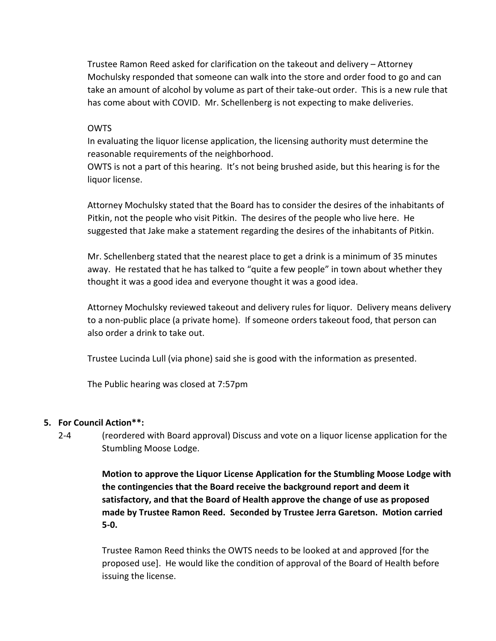Trustee Ramon Reed asked for clarification on the takeout and delivery – Attorney Mochulsky responded that someone can walk into the store and order food to go and can take an amount of alcohol by volume as part of their take-out order. This is a new rule that has come about with COVID. Mr. Schellenberg is not expecting to make deliveries.

#### **OWTS**

In evaluating the liquor license application, the licensing authority must determine the reasonable requirements of the neighborhood.

OWTS is not a part of this hearing. It's not being brushed aside, but this hearing is for the liquor license.

Attorney Mochulsky stated that the Board has to consider the desires of the inhabitants of Pitkin, not the people who visit Pitkin. The desires of the people who live here. He suggested that Jake make a statement regarding the desires of the inhabitants of Pitkin.

Mr. Schellenberg stated that the nearest place to get a drink is a minimum of 35 minutes away. He restated that he has talked to "quite a few people" in town about whether they thought it was a good idea and everyone thought it was a good idea.

Attorney Mochulsky reviewed takeout and delivery rules for liquor. Delivery means delivery to a non-public place (a private home). If someone orders takeout food, that person can also order a drink to take out.

Trustee Lucinda Lull (via phone) said she is good with the information as presented.

The Public hearing was closed at 7:57pm

## **5. For Council Action\*\*:**

2-4 (reordered with Board approval) Discuss and vote on a liquor license application for the Stumbling Moose Lodge.

> **Motion to approve the Liquor License Application for the Stumbling Moose Lodge with the contingencies that the Board receive the background report and deem it satisfactory, and that the Board of Health approve the change of use as proposed made by Trustee Ramon Reed. Seconded by Trustee Jerra Garetson. Motion carried 5-0.**

Trustee Ramon Reed thinks the OWTS needs to be looked at and approved [for the proposed use]. He would like the condition of approval of the Board of Health before issuing the license.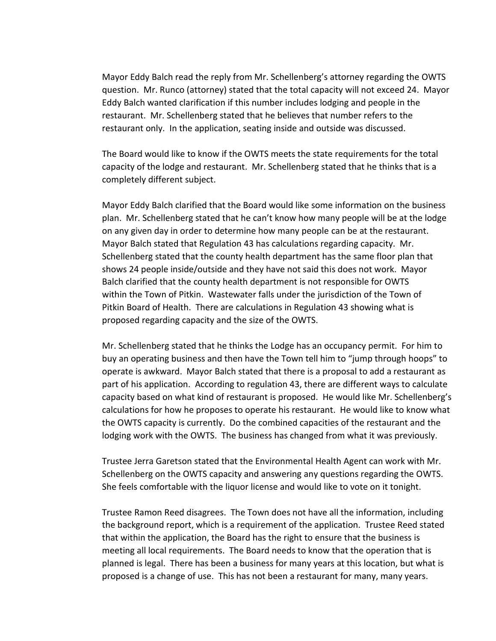Mayor Eddy Balch read the reply from Mr. Schellenberg's attorney regarding the OWTS question. Mr. Runco (attorney) stated that the total capacity will not exceed 24. Mayor Eddy Balch wanted clarification if this number includes lodging and people in the restaurant. Mr. Schellenberg stated that he believes that number refers to the restaurant only. In the application, seating inside and outside was discussed.

The Board would like to know if the OWTS meets the state requirements for the total capacity of the lodge and restaurant. Mr. Schellenberg stated that he thinks that is a completely different subject.

Mayor Eddy Balch clarified that the Board would like some information on the business plan. Mr. Schellenberg stated that he can't know how many people will be at the lodge on any given day in order to determine how many people can be at the restaurant. Mayor Balch stated that Regulation 43 has calculations regarding capacity. Mr. Schellenberg stated that the county health department has the same floor plan that shows 24 people inside/outside and they have not said this does not work. Mayor Balch clarified that the county health department is not responsible for OWTS within the Town of Pitkin. Wastewater falls under the jurisdiction of the Town of Pitkin Board of Health. There are calculations in Regulation 43 showing what is proposed regarding capacity and the size of the OWTS.

Mr. Schellenberg stated that he thinks the Lodge has an occupancy permit. For him to buy an operating business and then have the Town tell him to "jump through hoops" to operate is awkward. Mayor Balch stated that there is a proposal to add a restaurant as part of his application. According to regulation 43, there are different ways to calculate capacity based on what kind of restaurant is proposed. He would like Mr. Schellenberg's calculations for how he proposes to operate his restaurant. He would like to know what the OWTS capacity is currently. Do the combined capacities of the restaurant and the lodging work with the OWTS. The business has changed from what it was previously.

Trustee Jerra Garetson stated that the Environmental Health Agent can work with Mr. Schellenberg on the OWTS capacity and answering any questions regarding the OWTS. She feels comfortable with the liquor license and would like to vote on it tonight.

Trustee Ramon Reed disagrees. The Town does not have all the information, including the background report, which is a requirement of the application. Trustee Reed stated that within the application, the Board has the right to ensure that the business is meeting all local requirements. The Board needs to know that the operation that is planned is legal. There has been a business for many years at this location, but what is proposed is a change of use. This has not been a restaurant for many, many years.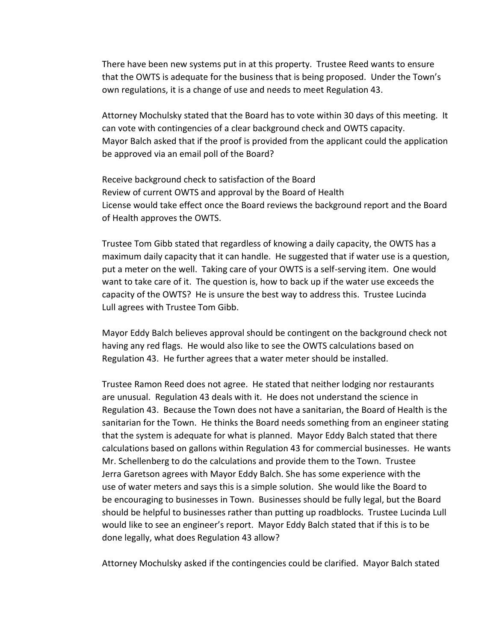There have been new systems put in at this property. Trustee Reed wants to ensure that the OWTS is adequate for the business that is being proposed. Under the Town's own regulations, it is a change of use and needs to meet Regulation 43.

Attorney Mochulsky stated that the Board has to vote within 30 days of this meeting. It can vote with contingencies of a clear background check and OWTS capacity. Mayor Balch asked that if the proof is provided from the applicant could the application be approved via an email poll of the Board?

Receive background check to satisfaction of the Board Review of current OWTS and approval by the Board of Health License would take effect once the Board reviews the background report and the Board of Health approves the OWTS.

Trustee Tom Gibb stated that regardless of knowing a daily capacity, the OWTS has a maximum daily capacity that it can handle. He suggested that if water use is a question, put a meter on the well. Taking care of your OWTS is a self-serving item. One would want to take care of it. The question is, how to back up if the water use exceeds the capacity of the OWTS? He is unsure the best way to address this. Trustee Lucinda Lull agrees with Trustee Tom Gibb.

Mayor Eddy Balch believes approval should be contingent on the background check not having any red flags. He would also like to see the OWTS calculations based on Regulation 43. He further agrees that a water meter should be installed.

Trustee Ramon Reed does not agree. He stated that neither lodging nor restaurants are unusual. Regulation 43 deals with it. He does not understand the science in Regulation 43. Because the Town does not have a sanitarian, the Board of Health is the sanitarian for the Town. He thinks the Board needs something from an engineer stating that the system is adequate for what is planned. Mayor Eddy Balch stated that there calculations based on gallons within Regulation 43 for commercial businesses. He wants Mr. Schellenberg to do the calculations and provide them to the Town. Trustee Jerra Garetson agrees with Mayor Eddy Balch. She has some experience with the use of water meters and says this is a simple solution. She would like the Board to be encouraging to businesses in Town. Businesses should be fully legal, but the Board should be helpful to businesses rather than putting up roadblocks. Trustee Lucinda Lull would like to see an engineer's report. Mayor Eddy Balch stated that if this is to be done legally, what does Regulation 43 allow?

Attorney Mochulsky asked if the contingencies could be clarified. Mayor Balch stated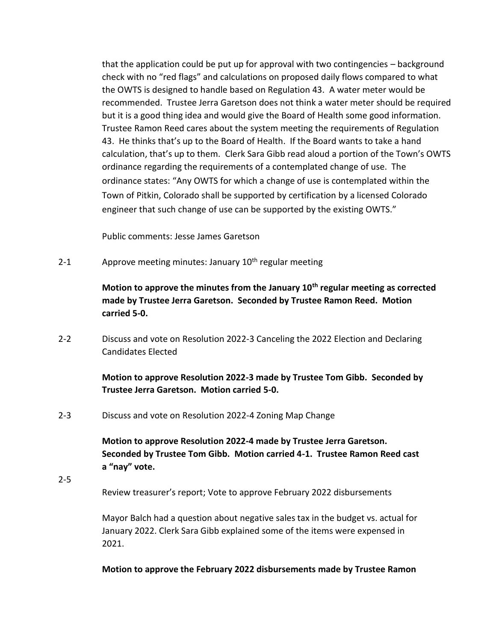that the application could be put up for approval with two contingencies – background check with no "red flags" and calculations on proposed daily flows compared to what the OWTS is designed to handle based on Regulation 43. A water meter would be recommended. Trustee Jerra Garetson does not think a water meter should be required but it is a good thing idea and would give the Board of Health some good information. Trustee Ramon Reed cares about the system meeting the requirements of Regulation 43. He thinks that's up to the Board of Health. If the Board wants to take a hand calculation, that's up to them. Clerk Sara Gibb read aloud a portion of the Town's OWTS ordinance regarding the requirements of a contemplated change of use. The ordinance states: "Any OWTS for which a change of use is contemplated within the Town of Pitkin, Colorado shall be supported by certification by a licensed Colorado engineer that such change of use can be supported by the existing OWTS."

Public comments: Jesse James Garetson

2-1 Approve meeting minutes: January  $10<sup>th</sup>$  regular meeting

**Motion to approve the minutes from the January 10th regular meeting as corrected made by Trustee Jerra Garetson. Seconded by Trustee Ramon Reed. Motion carried 5-0.**

2-2 Discuss and vote on Resolution 2022-3 Canceling the 2022 Election and Declaring Candidates Elected

## **Motion to approve Resolution 2022-3 made by Trustee Tom Gibb. Seconded by Trustee Jerra Garetson. Motion carried 5-0.**

2-3 Discuss and vote on Resolution 2022-4 Zoning Map Change

**Motion to approve Resolution 2022-4 made by Trustee Jerra Garetson. Seconded by Trustee Tom Gibb. Motion carried 4-1. Trustee Ramon Reed cast a "nay" vote.**

2-5 Review treasurer's report; Vote to approve February 2022 disbursements

> Mayor Balch had a question about negative sales tax in the budget vs. actual for January 2022. Clerk Sara Gibb explained some of the items were expensed in 2021.

> **Motion to approve the February 2022 disbursements made by Trustee Ramon**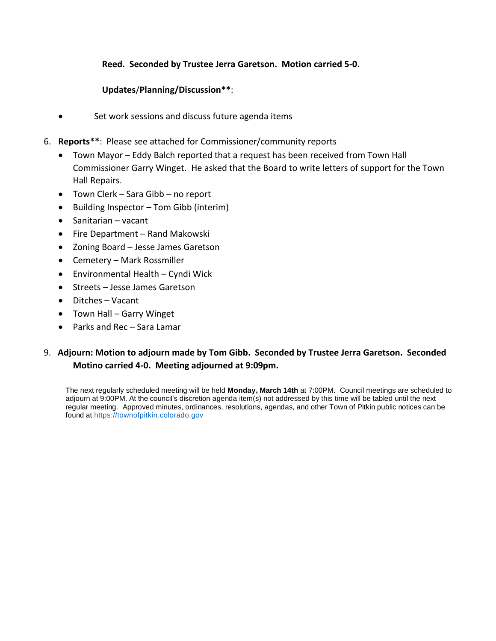## **Reed. Seconded by Trustee Jerra Garetson. Motion carried 5-0.**

## **Updates**/**Planning/Discussion\*\***:

- Set work sessions and discuss future agenda items
- 6. **Reports\*\***: Please see attached for Commissioner/community reports
	- Town Mayor Eddy Balch reported that a request has been received from Town Hall Commissioner Garry Winget. He asked that the Board to write letters of support for the Town Hall Repairs.
	- Town Clerk Sara Gibb no report
	- Building Inspector Tom Gibb (interim)
	- Sanitarian vacant
	- Fire Department Rand Makowski
	- Zoning Board Jesse James Garetson
	- Cemetery Mark Rossmiller
	- Environmental Health Cyndi Wick
	- Streets Jesse James Garetson
	- Ditches Vacant
	- Town Hall Garry Winget
	- Parks and Rec Sara Lamar

## 9. **Adjourn: Motion to adjourn made by Tom Gibb. Seconded by Trustee Jerra Garetson. Seconded Motino carried 4-0. Meeting adjourned at 9:09pm.**

The next regularly scheduled meeting will be held **Monday, March 14th** at 7:00PM. Council meetings are scheduled to adjourn at 9:00PM. At the council's discretion agenda item(s) not addressed by this time will be tabled until the next regular meeting. Approved minutes, ordinances, resolutions, agendas, and other Town of Pitkin public notices can be found at [https://townofpitkin.colorado.gov](https://townofpitkin.colorado.gov/)